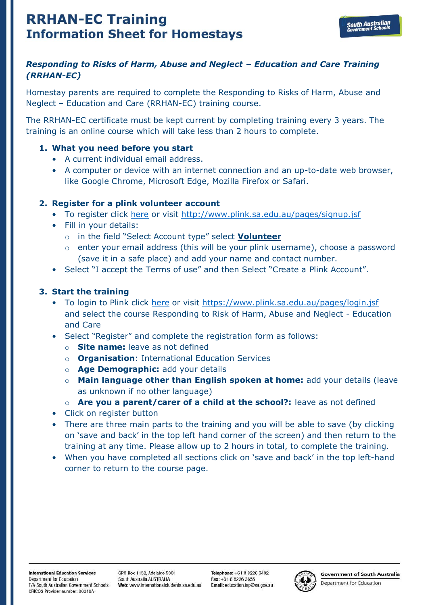# **RRHAN-EC Training Information Sheet for Homestays**

## *Responding to Risks of Harm, Abuse and Neglect – Education and Care Training (RRHAN-EC)*

Homestay parents are required to complete the Responding to Risks of Harm, Abuse and Neglect – Education and Care (RRHAN-EC) training course.

The RRHAN-EC certificate must be kept current by completing training every 3 years. The training is an online course which will take less than 2 hours to complete.

#### **1. What you need before you start**

- A current individual email address.
- A computer or device with an internet connection and an up-to-date web browser, like Google Chrome, Microsoft Edge, Mozilla Firefox or Safari.

## **2. Register for a plink volunteer account**

- To register click [here](http://www.plink.sa.edu.au/pages/signup.jsf) or visit<http://www.plink.sa.edu.au/pages/signup.jsf>
- Fill in your details:
	- o in the field "Select Account type" select **Volunteer**
	- o enter your email address (this will be your plink username), choose a password (save it in a safe place) and add your name and contact number.
- Select "I accept the Terms of use" and then Select "Create a Plink Account".

## **3. Start the training**

- To login to Plink click [here](https://www.plink.sa.edu.au/pages/login.jsf) or visit<https://www.plink.sa.edu.au/pages/login.jsf> and select the course Responding to Risk of Harm, Abuse and Neglect - Education and Care
- Select "Register" and complete the registration form as follows:
	- o **Site name:** leave as not defined
	- o **Organisation**: International Education Services
	- o **Age Demographic:** add your details
	- o **Main language other than English spoken at home:** add your details (leave as unknown if no other language)
	- o **Are you a parent/carer of a child at the school?:** leave as not defined
- Click on register button
- There are three main parts to the training and you will be able to save (by clicking on 'save and back' in the top left hand corner of the screen) and then return to the training at any time. Please allow up to 2 hours in total, to complete the training.
- When you have completed all sections click on 'save and back' in the top left-hand corner to return to the course page.